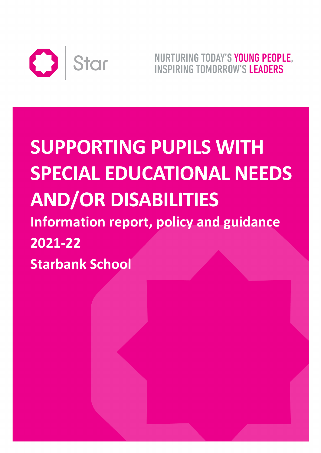

NURTURING TODAY'S YOUNG PEOPLE. **INSPIRING TOMORROW'S LEADERS** 

# **SUPPORTING PUPILS WITH SPECIAL EDUCATIONAL NEEDS AND/OR DISABILITIES Information report, policy and guidance 2021-22 Starbank School**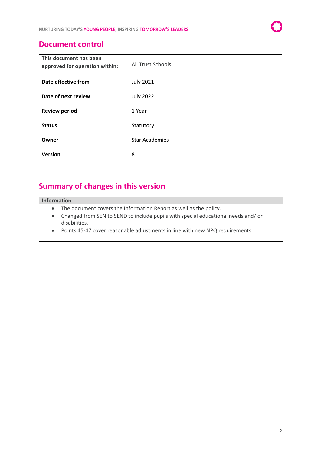# **Document control**

| This document has been<br>approved for operation within: | <b>All Trust Schools</b> |
|----------------------------------------------------------|--------------------------|
| Date effective from                                      | <b>July 2021</b>         |
| Date of next review                                      | <b>July 2022</b>         |
| <b>Review period</b>                                     | 1 Year                   |
| <b>Status</b>                                            | Statutory                |
| Owner                                                    | <b>Star Academies</b>    |
| <b>Version</b>                                           | 8                        |

# **Summary of changes in this version**

## **Information**

- The document covers the Information Report as well as the policy.
- Changed from SEN to SEND to include pupils with special educational needs and/ or disabilities.
- Points 45-47 cover reasonable adjustments in line with new NPQ requirements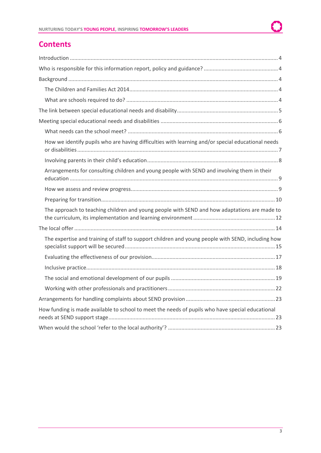# **Contents**

| How we identify pupils who are having difficulties with learning and/or special educational needs |
|---------------------------------------------------------------------------------------------------|
|                                                                                                   |
| Arrangements for consulting children and young people with SEND and involving them in their       |
|                                                                                                   |
|                                                                                                   |
| The approach to teaching children and young people with SEND and how adaptations are made to      |
|                                                                                                   |
| The expertise and training of staff to support children and young people with SEND, including how |
|                                                                                                   |
|                                                                                                   |
|                                                                                                   |
|                                                                                                   |
|                                                                                                   |
| How funding is made available to school to meet the needs of pupils who have special educational  |
|                                                                                                   |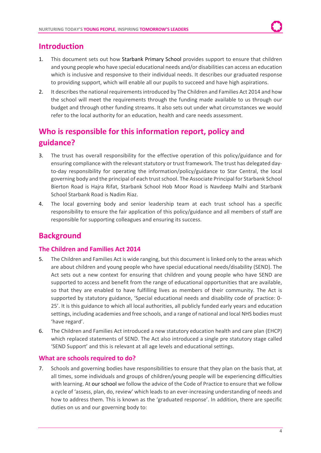# <span id="page-3-0"></span>**Introduction**

- 1. This document sets out how Starbank Primary School provides support to ensure that children and young people who have special educational needs and/or disabilities can access an education which is inclusive and responsive to their individual needs. It describes our graduated response to providing support, which will enable all our pupils to succeed and have high aspirations.
- 2. It describes the national requirements introduced by The Children and Families Act 2014 and how the school will meet the requirements through the funding made available to us through our budget and through other funding streams. It also sets out under what circumstances we would refer to the local authority for an education, health and care needs assessment.

# <span id="page-3-1"></span>**Who is responsible for this information report, policy and guidance?**

- 3. The trust has overall responsibility for the effective operation of this policy/guidance and for ensuring compliance with the relevant statutory or trust framework. The trust has delegated dayto-day responsibility for operating the information/policy/guidance to Star Central, the local governing body and the principal of each trust school. The Associate Principal for Starbank School Bierton Road is Hajra Rifat, Starbank School Hob Moor Road is Navdeep Malhi and Starbank School Starbank Road is Nadim Riaz.
- 4. The local governing body and senior leadership team at each trust school has a specific responsibility to ensure the fair application of this policy/guidance and all members of staff are responsible for supporting colleagues and ensuring its success.

# <span id="page-3-2"></span>**Background**

## <span id="page-3-3"></span>**The Children and Families Act 2014**

- 5. The Children and Families Act is wide ranging, but this document is linked only to the areas which are about children and young people who have special educational needs/disability (SEND). The Act sets out a new context for ensuring that children and young people who have SEND are supported to access and benefit from the range of educational opportunities that are available, so that they are enabled to have fulfilling lives as members of their community. The Act is supported by statutory guidance, 'Special educational needs and disability code of practice: 0- 25'. It is this guidance to which all local authorities, all publicly funded early years and education settings, including academies and free schools, and a range of national and local NHS bodies must 'have regard'.
- 6. The Children and Families Act introduced a new statutory education health and care plan (EHCP) which replaced statements of SEND. The Act also introduced a single pre statutory stage called 'SEND Support' and this is relevant at all age levels and educational settings.

## <span id="page-3-4"></span>**What are schools required to do?**

7. Schools and governing bodies have responsibilities to ensure that they plan on the basis that, at all times, some individuals and groups of children/young people will be experiencing difficulties with learning. At our school we follow the advice of the Code of Practice to ensure that we follow a cycle of 'assess, plan, do, review' which leads to an ever-increasing understanding of needs and how to address them. This is known as the 'graduated response'. In addition, there are specific duties on us and our governing body to: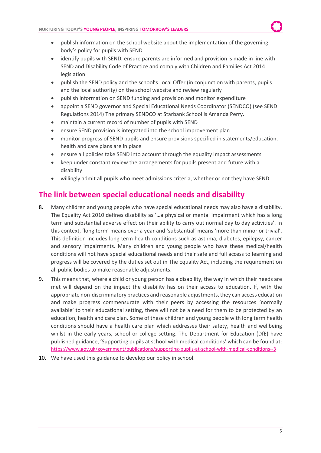- publish information on the school website about the implementation of the governing body's policy for pupils with SEND
- identify pupils with SEND, ensure parents are informed and provision is made in line with SEND and Disability Code of Practice and comply with Children and Families Act 2014 legislation
- publish the SEND policy and the school's Local Offer (in conjunction with parents, pupils and the local authority) on the school website and review regularly
- publish information on SEND funding and provision and monitor expenditure
- appoint a SEND governor and Special Educational Needs Coordinator (SENDCO) (see SEND Regulations 2014) The primary SENDCO at Starbank School is Amanda Perry.
- maintain a current record of number of pupils with SEND
- ensure SEND provision is integrated into the school improvement plan
- monitor progress of SEND pupils and ensure provisions specified in statements/education, health and care plans are in place
- ensure all policies take SEND into account through the equality impact assessments
- keep under constant review the arrangements for pupils present and future with a disability
- willingly admit all pupils who meet admissions criteria, whether or not they have SEND

# <span id="page-4-0"></span>**The link between special educational needs and disability**

- 8. Many children and young people who have special educational needs may also have a disability. The Equality Act 2010 defines disability as '…a physical or mental impairment which has a long term and substantial adverse effect on their ability to carry out normal day to day activities'. In this context, 'long term' means over a year and 'substantial' means 'more than minor or trivial'. This definition includes long term health conditions such as asthma, diabetes, epilepsy, cancer and sensory impairments. Many children and young people who have these medical/health conditions will not have special educational needs and their safe and full access to learning and progress will be covered by the duties set out in The Equality Act, including the requirement on all public bodies to make reasonable adjustments.
- 9. This means that, where a child or young person has a disability, the way in which their needs are met will depend on the impact the disability has on their access to education. If, with the appropriate non-discriminatory practices and reasonable adjustments, they can access education and make progress commensurate with their peers by accessing the resources 'normally available' to their educational setting, there will not be a need for them to be protected by an education, health and care plan. Some of these children and young people with long term health conditions should have a health care plan which addresses their safety, health and wellbeing whilst in the early years, school or college setting. The Department for Education (DfE) have published guidance, 'Supporting pupils at school with medical conditions' which can be found at: <https://www.gov.uk/government/publications/supporting-pupils-at-school-with-medical-conditions--3>
- 10. We have used this guidance to develop our policy in school.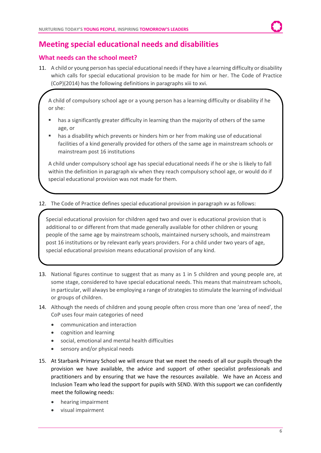# <span id="page-5-0"></span>**Meeting special educational needs and disabilities**

## <span id="page-5-1"></span>**What needs can the school meet?**

11. A child or young person has special educational needs if they have a learning difficulty or disability which calls for special educational provision to be made for him or her. The Code of Practice (CoP)(2014) has the following definitions in paragraphs xiii to xvi.

A child of compulsory school age or a young person has a learning difficulty or disability if he or she:

- has a significantly greater difficulty in learning than the majority of others of the same age, or
- has a disability which prevents or hinders him or her from making use of educational facilities of a kind generally provided for others of the same age in mainstream schools or mainstream post 16 institutions

A child under compulsory school age has special educational needs if he or she is likely to fall within the definition in paragraph xiv when they reach compulsory school age, or would do if special educational provision was not made for them.

12. The Code of Practice defines special educational provision in paragraph xv as follows:

Special educational provision for children aged two and over is educational provision that is additional to or different from that made generally available for other children or young people of the same age by mainstream schools, maintained nursery schools, and mainstream post 16 institutions or by relevant early years providers. For a child under two years of age, special educational provision means educational provision of any kind.

- 13. National figures continue to suggest that as many as 1 in 5 children and young people are, at some stage, considered to have special educational needs. This means that mainstream schools, in particular, will always be employing a range of strategies to stimulate the learning of individual or groups of children.
- 14. Although the needs of children and young people often cross more than one 'area of need', the CoP uses four main categories of need
	- communication and interaction
	- cognition and learning
	- social, emotional and mental health difficulties
	- sensory and/or physical needs
- 15. At Starbank Primary School we will ensure that we meet the needs of all our pupils through the provision we have available, the advice and support of other specialist professionals and practitioners and by ensuring that we have the resources available. We have an Access and Inclusion Team who lead the support for pupils with SEND. With this support we can confidently meet the following needs:
	- hearing impairment
	- visual impairment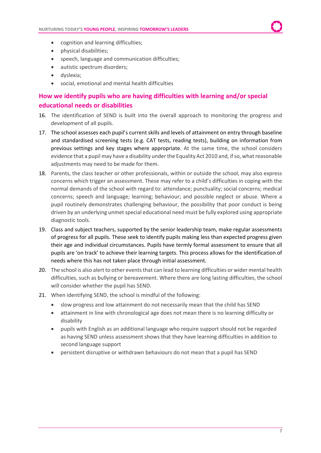- cognition and learning difficulties;
- physical disabilities;
- speech, language and communication difficulties;
- autistic spectrum disorders;
- dyslexia;
- social, emotional and mental health difficulties

# <span id="page-6-0"></span>**How we identify pupils who are having difficulties with learning and/or special educational needs or disabilities**

- 16. The identification of SEND is built into the overall approach to monitoring the progress and development of all pupils.
- 17. The school assesses each pupil's current skills and levels of attainment on entry through baseline and standardised screening tests (e.g. CAT tests, reading tests), building on information from previous settings and key stages where appropriate. At the same time, the school considers evidence that a pupil may have a disability under the Equality Act 2010 and, if so, what reasonable adjustments may need to be made for them.
- 18. Parents, the class teacher or other professionals, within or outside the school, may also express concerns which trigger an assessment. These may refer to a child's difficulties in coping with the normal demands of the school with regard to: attendance; punctuality; social concerns; medical concerns; speech and language; learning; behaviour; and possible neglect or abuse. Where a pupil routinely demonstrates challenging behaviour, the possibility that poor conduct is being driven by an underlying unmet special educational need must be fully explored using appropriate diagnostic tools.
- 19. Class and subject teachers, supported by the senior leadership team, make regular assessments of progress for all pupils. These seek to identify pupils making less than expected progress given their age and individual circumstances. Pupils have termly formal assessment to ensure that all pupils are 'on track' to achieve their learning targets. This process allows for the identification of needs where this has not taken place through initial assessment.
- 20. The school is also alert to other events that can lead to learning difficulties or wider mental health difficulties, such as bullying or bereavement. Where there are long lasting difficulties, the school will consider whether the pupil has SEND.
- 21. When identifying SEND, the school is mindful of the following:
	- slow progress and low attainment do not necessarily mean that the child has SEND
	- attainment in line with chronological age does not mean there is no learning difficulty or disability
	- pupils with English as an additional language who require support should not be regarded as having SEND unless assessment shows that they have learning difficulties in addition to second language support
	- persistent disruptive or withdrawn behaviours do not mean that a pupil has SEND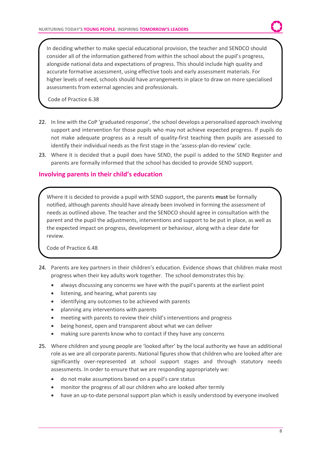In deciding whether to make special educational provision, the teacher and SENDCO should consider all of the information gathered from within the school about the pupil's progress, alongside national data and expectations of progress. This should include high quality and accurate formative assessment, using effective tools and early assessment materials. For higher levels of need, schools should have arrangements in place to draw on more specialised assessments from external agencies and professionals.

Code of Practice 6.38

- 22. In line with the CoP 'graduated response', the school develops a personalised approach involving support and intervention for those pupils who may not achieve expected progress. If pupils do not make adequate progress as a result of quality-first teaching then pupils are assessed to identify their individual needs as the first stage in the 'assess-plan-do-review' cycle.
- 23. Where it is decided that a pupil does have SEND, the pupil is added to the SEND Register and parents are formally informed that the school has decided to provide SEND support.

## <span id="page-7-0"></span>**Involving parents in their child's education**

Where it is decided to provide a pupil with SEND support, the parents **must** be formally notified, although parents should have already been involved in forming the assessment of needs as outlined above. The teacher and the SENDCO should agree in consultation with the parent and the pupil the adjustments, interventions and support to be put in place, as well as the expected impact on progress, development or behaviour, along with a clear date for review.

Code of Practice 6.48

- 24. Parents are key partners in their children's education. Evidence shows that children make most progress when their key adults work together. The school demonstrates this by:
	- always discussing any concerns we have with the pupil's parents at the earliest point
	- listening, and hearing, what parents say
	- identifying any outcomes to be achieved with parents
	- planning any interventions with parents
	- meeting with parents to review their child's interventions and progress
	- being honest, open and transparent about what we can deliver
	- making sure parents know who to contact if they have any concerns
- 25. Where children and young people are 'looked after' by the local authority we have an additional role as we are all corporate parents. National figures show that children who are looked after are significantly over-represented at school support stages and through statutory needs assessments. In order to ensure that we are responding appropriately we:
	- do not make assumptions based on a pupil's care status
	- monitor the progress of all our children who are looked after termly
	- have an up-to-date personal support plan which is easily understood by everyone involved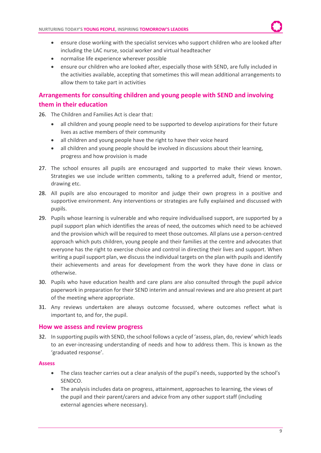

- ensure close working with the specialist services who support children who are looked after including the LAC nurse, social worker and virtual headteacher
- normalise life experience wherever possible
- ensure our children who are looked after, especially those with SEND, are fully included in the activities available, accepting that sometimes this will mean additional arrangements to allow them to take part in activities

# <span id="page-8-0"></span>**Arrangements for consulting children and young people with SEND and involving them in their education**

- 26. The Children and Families Act is clear that:
	- all children and young people need to be supported to develop aspirations for their future lives as active members of their community
	- all children and young people have the right to have their voice heard
	- all children and young people should be involved in discussions about their learning, progress and how provision is made
- 27. The school ensures all pupils are encouraged and supported to make their views known. Strategies we use include written comments, talking to a preferred adult, friend or mentor, drawing etc.
- 28. All pupils are also encouraged to monitor and judge their own progress in a positive and supportive environment. Any interventions or strategies are fully explained and discussed with pupils.
- 29. Pupils whose learning is vulnerable and who require individualised support, are supported by a pupil support plan which identifies the areas of need, the outcomes which need to be achieved and the provision which will be required to meet those outcomes. All plans use a person-centred approach which puts children, young people and their families at the centre and advocates that everyone has the right to exercise choice and control in directing their lives and support. When writing a pupil support plan, we discuss the individual targets on the plan with pupils and identify their achievements and areas for development from the work they have done in class or otherwise.
- 30. Pupils who have education health and care plans are also consulted through the pupil advice paperwork in preparation for their SEND interim and annual reviews and are also present at part of the meeting where appropriate.
- 31. Any reviews undertaken are always outcome focussed, where outcomes reflect what is important to, and for, the pupil.

## <span id="page-8-1"></span>**How we assess and review progress**

32. In supporting pupils with SEND, the school follows a cycle of 'assess, plan, do, review' which leads to an ever-increasing understanding of needs and how to address them. This is known as the 'graduated response'.

#### **Assess**

- The class teacher carries out a clear analysis of the pupil's needs, supported by the school's SENDCO.
- The analysis includes data on progress, attainment, approaches to learning, the views of the pupil and their parent/carers and advice from any other support staff (including external agencies where necessary).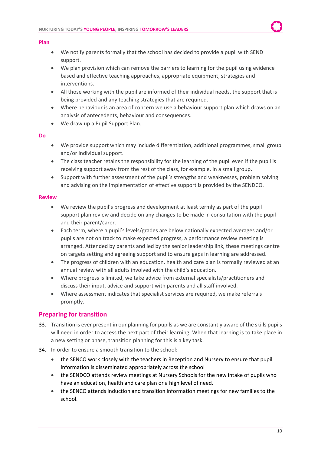#### **Plan**

- We notify parents formally that the school has decided to provide a pupil with SEND support.
- We plan provision which can remove the barriers to learning for the pupil using evidence based and effective teaching approaches, appropriate equipment, strategies and interventions.
- All those working with the pupil are informed of their individual needs, the support that is being provided and any teaching strategies that are required.
- Where behaviour is an area of concern we use a behaviour support plan which draws on an analysis of antecedents, behaviour and consequences.
- We draw up a Pupil Support Plan.

#### **Do**

- We provide support which may include differentiation, additional programmes, small group and/or individual support.
- The class teacher retains the responsibility for the learning of the pupil even if the pupil is receiving support away from the rest of the class, for example, in a small group.
- Support with further assessment of the pupil's strengths and weaknesses, problem solving and advising on the implementation of effective support is provided by the SENDCO.

#### **Review**

- We review the pupil's progress and development at least termly as part of the pupil support plan review and decide on any changes to be made in consultation with the pupil and their parent/carer.
- Each term, where a pupil's levels/grades are below nationally expected averages and/or pupils are not on track to make expected progress, a performance review meeting is arranged. Attended by parents and led by the senior leadership link, these meetings centre on targets setting and agreeing support and to ensure gaps in learning are addressed.
- The progress of children with an education, health and care plan is formally reviewed at an annual review with all adults involved with the child's education.
- Where progress is limited, we take advice from external specialists/practitioners and discuss their input, advice and support with parents and all staff involved.
- Where assessment indicates that specialist services are required, we make referrals promptly.

## <span id="page-9-0"></span>**Preparing for transition**

- 33. Transition is ever present in our planning for pupils as we are constantly aware of the skills pupils will need in order to access the next part of their learning. When that learning is to take place in a new setting or phase, transition planning for this is a key task.
- 34. In order to ensure a smooth transition to the school:
	- the SENCO work closely with the teachers in Reception and Nursery to ensure that pupil information is disseminated appropriately across the school
	- the SENDCO attends review meetings at Nursery Schools for the new intake of pupils who have an education, health and care plan or a high level of need.
	- the SENCO attends induction and transition information meetings for new families to the school.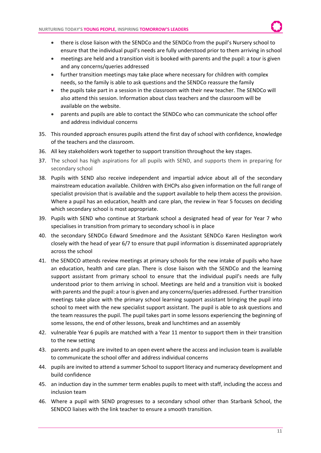- there is close liaison with the SENDCo and the SENDCo from the pupil's Nursery school to ensure that the individual pupil's needs are fully understood prior to them arriving in school
- meetings are held and a transition visit is booked with parents and the pupil: a tour is given and any concerns/queries addressed
- further transition meetings may take place where necessary for children with complex needs, so the family is able to ask questions and the SENDCo reassure the family
- the pupils take part in a session in the classroom with their new teacher. The SENDCo will also attend this session. Information about class teachers and the classroom will be available on the website.
- parents and pupils are able to contact the SENDCo who can communicate the school offer and address individual concerns
- 35. This rounded approach ensures pupils attend the first day of school with confidence, knowledge of the teachers and the classroom.
- 36. All key stakeholders work together to support transition throughout the key stages.
- 37. The school has high aspirations for all pupils with SEND, and supports them in preparing for secondary school
- 38. Pupils with SEND also receive independent and impartial advice about all of the secondary mainstream education available. Children with EHCPs also given information on the full range of specialist provision that is available and the support available to help them access the provision. Where a pupil has an education, health and care plan, the review in Year 5 focuses on deciding which secondary school is most appropriate.
- 39. Pupils with SEND who continue at Starbank school a designated head of year for Year 7 who specialises in transition from primary to secondary school is in place
- 40. the secondary SENDCo Edward Smedmore and the Assistant SENDCo Karen Heslington work closely with the head of year 6/7 to ensure that pupil information is disseminated appropriately across the school
- 41. the SENDCO attends review meetings at primary schools for the new intake of pupils who have an education, health and care plan. There is close liaison with the SENDCo and the learning support assistant from primary school to ensure that the individual pupil's needs are fully understood prior to them arriving in school. Meetings are held and a transition visit is booked with parents and the pupil: a tour is given and any concerns/queries addressed. Further transition meetings take place with the primary school learning support assistant bringing the pupil into school to meet with the new specialist support assistant. The pupil is able to ask questions and the team reassures the pupil. The pupil takes part in some lessons experiencing the beginning of some lessons, the end of other lessons, break and lunchtimes and an assembly
- 42. vulnerable Year 6 pupils are matched with a Year 11 mentor to support them in their transition to the new setting
- 43. parents and pupils are invited to an open event where the access and inclusion team is available to communicate the school offer and address individual concerns
- 44. pupils are invited to attend a summer School to support literacy and numeracy development and build confidence
- 45. an induction day in the summer term enables pupils to meet with staff, including the access and inclusion team
- 46. Where a pupil with SEND progresses to a secondary school other than Starbank School, the SENDCO liaises with the link teacher to ensure a smooth transition.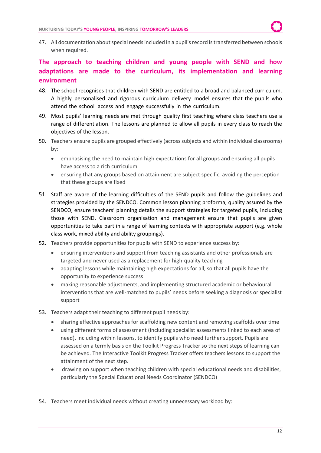47. All documentation about special needs included in a pupil's record is transferred between schools when required.

# <span id="page-11-0"></span>**The approach to teaching children and young people with SEND and how adaptations are made to the curriculum, its implementation and learning environment**

- 48. The school recognises that children with SEND are entitled to a broad and balanced curriculum. A highly personalised and rigorous curriculum delivery model ensures that the pupils who attend the school access and engage successfully in the curriculum.
- 49. Most pupils' learning needs are met through quality first teaching where class teachers use a range of differentiation. The lessons are planned to allow all pupils in every class to reach the objectives of the lesson.
- 50. Teachers ensure pupils are grouped effectively (across subjects and within individual classrooms) by:
	- emphasising the need to maintain high expectations for all groups and ensuring all pupils have access to a rich curriculum
	- ensuring that any groups based on attainment are subject specific, avoiding the perception that these groups are fixed
- 51. Staff are aware of the learning difficulties of the SEND pupils and follow the guidelines and strategies provided by the SENDCO. Common lesson planning proforma, quality assured by the SENDCO, ensure teachers' planning details the support strategies for targeted pupils, including those with SEND. Classroom organisation and management ensure that pupils are given opportunities to take part in a range of learning contexts with appropriate support (e.g. whole class work, mixed ability and ability groupings).
- 52. Teachers provide opportunities for pupils with SEND to experience success by:
	- ensuring interventions and support from teaching assistants and other professionals are targeted and never used as a replacement for high-quality teaching
	- adapting lessons while maintaining high expectations for all, so that all pupils have the opportunity to experience success
	- making reasonable adjustments, and implementing structured academic or behavioural interventions that are well-matched to pupils' needs before seeking a diagnosis or specialist support
- 53. Teachers adapt their teaching to different pupil needs by:
	- sharing effective approaches for scaffolding new content and removing scaffolds over time
	- using different forms of assessment (including specialist assessments linked to each area of need), including within lessons, to identify pupils who need further support. Pupils are assessed on a termly basis on the Toolkit Progress Tracker so the next steps of learning can be achieved. The Interactive Toolkit Progress Tracker offers teachers lessons to support the attainment of the next step.
	- drawing on support when teaching children with special educational needs and disabilities, particularly the Special Educational Needs Coordinator (SENDCO)
- 54. Teachers meet individual needs without creating unnecessary workload by: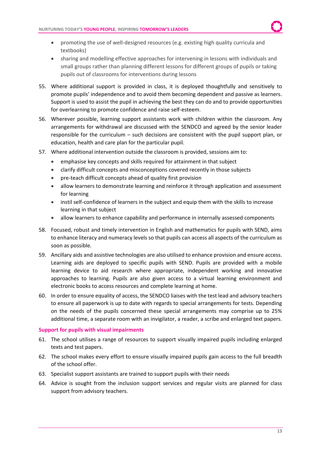- promoting the use of well-designed resources (e.g. existing high quality curricula and textbooks)
- sharing and modelling effective approaches for intervening in lessons with individuals and small groups rather than planning different lessons for different groups of pupils or taking pupils out of classrooms for interventions during lessons
- 55. Where additional support is provided in class, it is deployed thoughtfully and sensitively to promote pupils' independence and to avoid them becoming dependent and passive as learners. Support is used to assist the pupil in achieving the best they can do and to provide opportunities for overlearning to promote confidence and raise self-esteem.
- 56. Wherever possible, learning support assistants work with children within the classroom. Any arrangements for withdrawal are discussed with the SENDCO and agreed by the senior leader responsible for the curriculum – such decisions are consistent with the pupil support plan, or education, health and care plan for the particular pupil.
- 57. Where additional intervention outside the classroom is provided, sessions aim to:
	- emphasise key concepts and skills required for attainment in that subject
	- clarify difficult concepts and misconceptions covered recently in those subjects
	- pre-teach difficult concepts ahead of quality first provision
	- allow learners to demonstrate learning and reinforce it through application and assessment for learning
	- instil self-confidence of learners in the subject and equip them with the skills to increase learning in that subject
	- allow learners to enhance capability and performance in internally assessed components
- 58. Focused, robust and timely intervention in English and mathematics for pupils with SEND, aims to enhance literacy and numeracy levels so that pupils can access all aspects of the curriculum as soon as possible.
- 59. Ancillary aids and assistive technologies are also utilised to enhance provision and ensure access. Learning aids are deployed to specific pupils with SEND. Pupils are provided with a mobile learning device to aid research where appropriate, independent working and innovative approaches to learning. Pupils are also given access to a virtual learning environment and electronic books to access resources and complete learning at home.
- 60. In order to ensure equality of access, the SENDCO liaises with the test lead and advisory teachers to ensure all paperwork is up to date with regards to special arrangements for tests. Depending on the needs of the pupils concerned these special arrangements may comprise up to 25% additional time, a separate room with an invigilator, a reader, a scribe and enlarged text papers.

#### **Support for pupils with visual impairments**

- 61. The school utilises a range of resources to support visually impaired pupils including enlarged texts and test papers.
- 62. The school makes every effort to ensure visually impaired pupils gain access to the full breadth of the school offer.
- 63. Specialist support assistants are trained to support pupils with their needs
- 64. Advice is sought from the inclusion support services and regular visits are planned for class support from advisory teachers.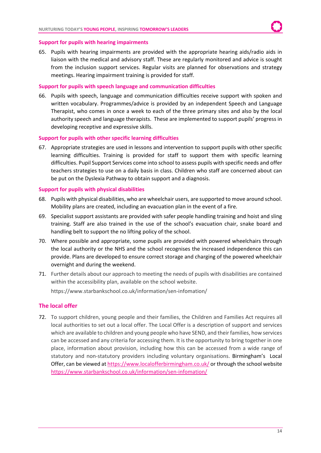#### **Support for pupils with hearing impairments**

65. Pupils with hearing impairments are provided with the appropriate hearing aids/radio aids in liaison with the medical and advisory staff. These are regularly monitored and advice is sought from the inclusion support services. Regular visits are planned for observations and strategy meetings. Hearing impairment training is provided for staff.

#### **Support for pupils with speech language and communication difficulties**

66. Pupils with speech, language and communication difficulties receive support with spoken and written vocabulary. Programmes/advice is provided by an independent Speech and Language Therapist, who comes in once a week to each of the three primary sites and also by the local authority speech and language therapists. These are implemented to support pupils' progress in developing receptive and expressive skills.

#### **Support for pupils with other specific learning difficulties**

67. Appropriate strategies are used in lessons and intervention to support pupils with other specific learning difficulties. Training is provided for staff to support them with specific learning difficulties. Pupil Support Services come into school to assess pupils with specific needs and offer teachers strategies to use on a daily basis in class. Children who staff are concerned about can be put on the Dyslexia Pathway to obtain support and a diagnosis.

#### **Support for pupils with physical disabilities**

- 68. Pupils with physical disabilities, who are wheelchair users, are supported to move around school. Mobility plans are created, including an evacuation plan in the event of a fire.
- 69. Specialist support assistants are provided with safer people handling training and hoist and sling training. Staff are also trained in the use of the school's evacuation chair, snake board and handling belt to support the no lifting policy of the school.
- 70. Where possible and appropriate, some pupils are provided with powered wheelchairs through the local authority or the NHS and the school recognises the increased independence this can provide. Plans are developed to ensure correct storage and charging of the powered wheelchair overnight and during the weekend.
- 71. Further details about our approach to meeting the needs of pupils with disabilities are contained within the accessibility plan, available on the school website.

https://www.starbankschool.co.uk/information/sen-infomation/

#### <span id="page-13-0"></span>**The local offer**

72. To support children, young people and their families, the Children and Families Act requires all local authorities to set out a local offer. The Local Offer is a description of support and services which are available to children and young people who have SEND, and their families, how services can be accessed and any criteria for accessing them. It is the opportunity to bring together in one place, information about provision, including how this can be accessed from a wide range of statutory and non-statutory providers including voluntary organisations. Birmingham's Local Offer, can be viewed a[t https://www.localofferbirmingham.co.uk/](https://www.localofferbirmingham.co.uk/) or through the school website <https://www.starbankschool.co.uk/information/sen-infomation/>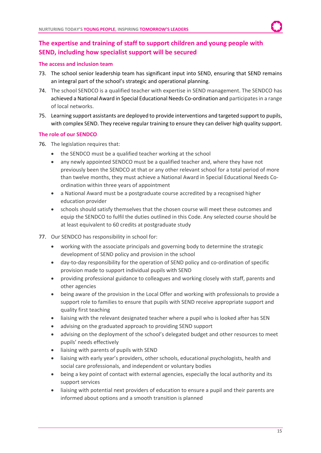# <span id="page-14-0"></span>**The expertise and training of staff to support children and young people with SEND, including how specialist support will be secured**

#### **The access and inclusion team**

- 73. The school senior leadership team has significant input into SEND, ensuring that SEND remains an integral part of the school's strategic and operational planning.
- 74. The school SENDCO is a qualified teacher with expertise in SEND management. The SENDCO has achieved a National Award in Special Educational Needs Co-ordination and participates in a range of local networks.
- 75. Learning support assistants are deployed to provide interventions and targeted support to pupils, with complex SEND. They receive regular training to ensure they can deliver high quality support.

#### **The role of our SENDCO**

- 76. The legislation requires that:
	- the SENDCO must be a qualified teacher working at the school
	- any newly appointed SENDCO must be a qualified teacher and, where they have not previously been the SENDCO at that or any other relevant school for a total period of more than twelve months, they must achieve a National Award in Special Educational Needs Coordination within three years of appointment
	- a National Award must be a postgraduate course accredited by a recognised higher education provider
	- schools should satisfy themselves that the chosen course will meet these outcomes and equip the SENDCO to fulfil the duties outlined in this Code. Any selected course should be at least equivalent to 60 credits at postgraduate study
- 77. Our SENDCO has responsibility in school for:
	- working with the associate principals and governing body to determine the strategic development of SEND policy and provision in the school
	- day-to-day responsibility for the operation of SEND policy and co-ordination of specific provision made to support individual pupils with SEND
	- providing professional guidance to colleagues and working closely with staff, parents and other agencies
	- being aware of the provision in the Local Offer and working with professionals to provide a support role to families to ensure that pupils with SEND receive appropriate support and quality first teaching
	- liaising with the relevant designated teacher where a pupil who is looked after has SEN
	- advising on the graduated approach to providing SEND support
	- advising on the deployment of the school's delegated budget and other resources to meet pupils' needs effectively
	- liaising with parents of pupils with SEND
	- liaising with early year's providers, other schools, educational psychologists, health and social care professionals, and independent or voluntary bodies
	- being a key point of contact with external agencies, especially the local authority and its support services
	- liaising with potential next providers of education to ensure a pupil and their parents are informed about options and a smooth transition is planned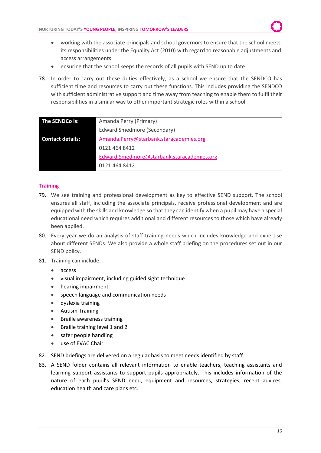- working with the associate principals and school governors to ensure that the school meets its responsibilities under the Equality Act (2010) with regard to reasonable adjustments and access arrangements
- ensuring that the school keeps the records of all pupils with SEND up to date
- 78. In order to carry out these duties effectively, as a school we ensure that the SENDCO has sufficient time and resources to carry out these functions. This includes providing the SENDCO with sufficient administrative support and time away from teaching to enable them to fulfil their responsibilities in a similar way to other important strategic roles within a school.

| The SENDCo is:          | Amanda Perry (Primary)                     |
|-------------------------|--------------------------------------------|
|                         | Edward Smedmore (Secondary)                |
| <b>Contact details:</b> | Amanda.Perry@starbank.staracademies.org    |
|                         | 0121 464 8412                              |
|                         | Edward.Smedmore@starbank.staracademies.org |
|                         | 0121 464 8412                              |

## **Training**

- 79. We see training and professional development as key to effective SEND support. The school ensures all staff, including the associate principals, receive professional development and are equipped with the skills and knowledge so that they can identify when a pupil may have a special educational need which requires additional and different resources to those which have already been applied.
- 80. Every year we do an analysis of staff training needs which includes knowledge and expertise about different SENDs. We also provide a whole staff briefing on the procedures set out in our SEND policy.
- 81. Training can include:
	- access
	- visual impairment, including guided sight technique
	- hearing impairment
	- speech language and communication needs
	- dyslexia training
	- Autism Training
	- Braille awareness training
	- Braille training level 1 and 2
	- safer people handling
	- use of EVAC Chair
- 82. SEND briefings are delivered on a regular basis to meet needs identified by staff.
- 83. A SEND folder contains all relevant information to enable teachers, teaching assistants and learning support assistants to support pupils appropriately. This includes information of the nature of each pupil's SEND need, equipment and resources, strategies, recent advices, education health and care plans etc.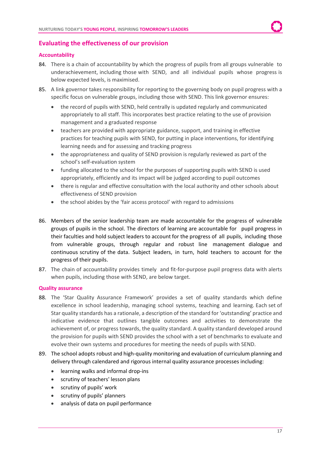## <span id="page-16-0"></span>**Evaluating the effectiveness of our provision**

#### **Accountability**

- 84. There is a chain of accountability by which the progress of pupils from all groups vulnerable to underachievement, including those with SEND, and all individual pupils whose progress is below expected levels, is maximised.
- 85. A link governor takes responsibility for reporting to the governing body on pupil progress with a specific focus on vulnerable groups, including those with SEND. This link governor ensures:
	- the record of pupils with SEND, held centrally is updated regularly and communicated appropriately to all staff. This incorporates best practice relating to the use of provision management and a graduated response
	- teachers are provided with appropriate guidance, support, and training in effective practices for teaching pupils with SEND, for putting in place interventions, for identifying learning needs and for assessing and tracking progress
	- the appropriateness and quality of SEND provision is regularly reviewed as part of the school's self-evaluation system
	- funding allocated to the school for the purposes of supporting pupils with SEND is used appropriately, efficiently and its impact will be judged according to pupil outcomes
	- there is regular and effective consultation with the local authority and other schools about effectiveness of SEND provision
	- the school abides by the 'fair access protocol' with regard to admissions
- 86. Members of the senior leadership team are made accountable for the progress of vulnerable groups of pupils in the school. The directors of learning are accountable for pupil progress in their faculties and hold subject leaders to account for the progress of all pupils, including those from vulnerable groups, through regular and robust line management dialogue and continuous scrutiny of the data. Subject leaders, in turn, hold teachers to account for the progress of their pupils.
- 87. The chain of accountability provides timely and fit-for-purpose pupil progress data with alerts when pupils, including those with SEND, are below target.

#### **Quality assurance**

- 88. The 'Star Quality Assurance Framework' provides a set of quality standards which define excellence in school leadership, managing school systems, teaching and learning. Each set of Star quality standards has a rationale, a description of the standard for 'outstanding' practice and indicative evidence that outlines tangible outcomes and activities to demonstrate the achievement of, or progress towards, the quality standard. A quality standard developed around the provision for pupils with SEND provides the school with a set of benchmarks to evaluate and evolve their own systems and procedures for meeting the needs of pupils with SEND.
- 89. The school adopts robust and high-quality monitoring and evaluation of curriculum planning and delivery through calendared and rigorous internal quality assurance processes including:
	- learning walks and informal drop-ins
	- scrutiny of teachers' lesson plans
	- scrutiny of pupils' work
	- scrutiny of pupils' planners
	- analysis of data on pupil performance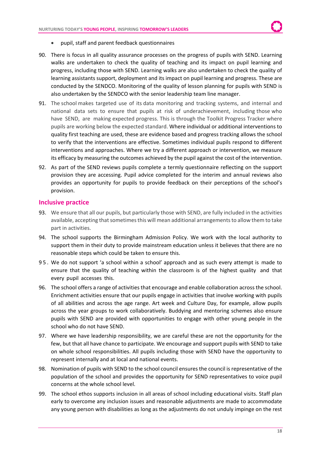- pupil, staff and parent feedback questionnaires
- 90. There is focus in all quality assurance processes on the progress of pupils with SEND. Learning walks are undertaken to check the quality of teaching and its impact on pupil learning and progress, including those with SEND. Learning walks are also undertaken to check the quality of learning assistants support, deployment and its impact on pupil learning and progress. These are conducted by the SENDCO. Monitoring of the quality of lesson planning for pupils with SEND is also undertaken by the SENDCO with the senior leadership team line manager.
- 91. The school makes targeted use of its data monitoring and tracking systems, and internal and national data sets to ensure that pupils at risk of underachievement, including those who have SEND, are making expected progress. This is through the Toolkit Progress Tracker where pupils are working below the expected standard. Where individual or additional interventions to quality first teaching are used, these are evidence based and progress tracking allows the school to verify that the interventions are effective. Sometimes individual pupils respond to different interventions and approaches. Where we try a different approach or intervention, we measure its efficacy by measuring the outcomes achieved by the pupil against the cost of the intervention.
- 92. As part of the SEND reviews pupils complete a termly questionnaire reflecting on the support provision they are accessing. Pupil advice completed for the interim and annual reviews also provides an opportunity for pupils to provide feedback on their perceptions of the school's provision.

#### <span id="page-17-0"></span>**Inclusive practice**

- 93. We ensure that all our pupils, but particularly those with SEND, are fully included in the activities available, accepting that sometimes this will mean additional arrangements to allow them to take part in activities.
- 94. The school supports the Birmingham Admission Policy. We work with the local authority to support them in their duty to provide mainstream education unless it believes that there are no reasonable steps which could be taken to ensure this.
- 95. We do not support 'a school within a school' approach and as such every attempt is made to ensure that the quality of teaching within the classroom is of the highest quality and that every pupil accesses this.
- 96. The school offers a range of activities that encourage and enable collaboration across the school. Enrichment activities ensure that our pupils engage in activities that involve working with pupils of all abilities and across the age range. Art week and Culture Day, for example, allow pupils across the year groups to work collaboratively. Buddying and mentoring schemes also ensure pupils with SEND are provided with opportunities to engage with other young people in the school who do not have SEND.
- 97. Where we have leadership responsibility, we are careful these are not the opportunity for the few, but that all have chance to participate. We encourage and support pupils with SEND to take on whole school responsibilities. All pupils including those with SEND have the opportunity to represent internally and at local and national events.
- 98. Nomination of pupils with SEND to the school council ensures the council is representative of the population of the school and provides the opportunity for SEND representatives to voice pupil concerns at the whole school level.
- 99. The school ethos supports inclusion in all areas of school including educational visits. Staff plan early to overcome any inclusion issues and reasonable adjustments are made to accommodate any young person with disabilities as long as the adjustments do not unduly impinge on the rest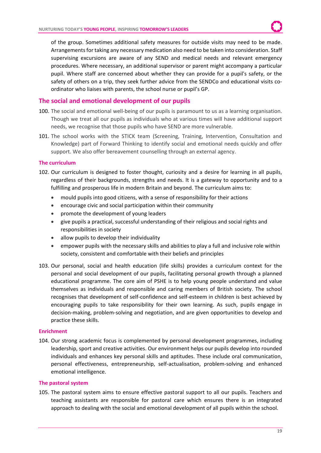of the group. Sometimes additional safety measures for outside visits may need to be made. Arrangements for taking any necessary medication also need to be taken into consideration. Staff supervising excursions are aware of any SEND and medical needs and relevant emergency procedures. Where necessary, an additional supervisor or parent might accompany a particular pupil. Where staff are concerned about whether they can provide for a pupil's safety, or the safety of others on a trip, they seek further advice from the SENDCo and educational visits coordinator who liaises with parents, the school nurse or pupil's GP.

### <span id="page-18-0"></span>**The social and emotional development of our pupils**

- 100. The social and emotional well-being of our pupils is paramount to us as a learning organisation. Though we treat all our pupils as individuals who at various times will have additional support needs, we recognise that those pupils who have SEND are more vulnerable.
- 101. The school works with the STICK team (Screening, Training, Intervention, Consultation and Knowledge) part of Forward Thinking to identify social and emotional needs quickly and offer support. We also offer bereavement counselling through an external agency.

#### **The curriculum**

- 102. Our curriculum is designed to foster thought, curiosity and a desire for learning in all pupils, regardless of their backgrounds, strengths and needs. It is a gateway to opportunity and to a fulfilling and prosperous life in modern Britain and beyond. The curriculum aims to:
	- mould pupils into good citizens, with a sense of responsibility for their actions
	- encourage civic and social participation within their community
	- promote the development of young leaders
	- give pupils a practical, successful understanding of their religious and social rights and responsibilities in society
	- allow pupils to develop their individuality
	- empower pupils with the necessary skills and abilities to play a full and inclusive role within society, consistent and comfortable with their beliefs and principles
- 103. Our personal, social and health education (life skills) provides a curriculum context for the personal and social development of our pupils, facilitating personal growth through a planned educational programme. The core aim of PSHE is to help young people understand and value themselves as individuals and responsible and caring members of British society. The school recognises that development of self-confidence and self-esteem in children is best achieved by encouraging pupils to take responsibility for their own learning. As such, pupils engage in decision-making, problem-solving and negotiation, and are given opportunities to develop and practice these skills.

#### **Enrichment**

104. Our strong academic focus is complemented by personal development programmes, including leadership, sport and creative activities. Our environment helps our pupils develop into rounded individuals and enhances key personal skills and aptitudes. These include oral communication, personal effectiveness, entrepreneurship, self-actualisation, problem-solving and enhanced emotional intelligence.

#### **The pastoral system**

105. The pastoral system aims to ensure effective pastoral support to all our pupils. Teachers and teaching assistants are responsible for pastoral care which ensures there is an integrated approach to dealing with the social and emotional development of all pupils within the school.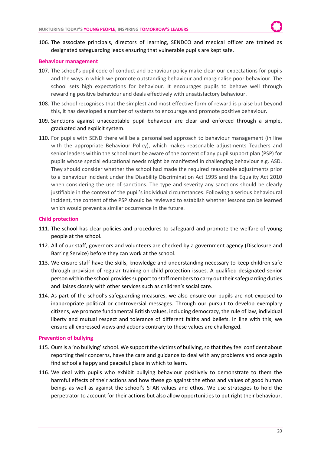106. The associate principals, directors of learning, SENDCO and medical officer are trained as designated safeguarding leads ensuring that vulnerable pupils are kept safe.

#### **Behaviour management**

- 107. The school's pupil code of conduct and behaviour policy make clear our expectations for pupils and the ways in which we promote outstanding behaviour and marginalise poor behaviour. The school sets high expectations for behaviour. It encourages pupils to behave well through rewarding positive behaviour and deals effectively with unsatisfactory behaviour.
- 108. The school recognises that the simplest and most effective form of reward is praise but beyond this, it has developed a number of systems to encourage and promote positive behaviour.
- 109. Sanctions against unacceptable pupil behaviour are clear and enforced through a simple, graduated and explicit system.
- 110. For pupils with SEND there will be a personalised approach to behaviour management (in line with the appropriate Behaviour Policy), which makes reasonable adjustments Teachers and senior leaders within the school must be aware of the content of any pupil support plan (PSP) for pupils whose special educational needs might be manifested in challenging behaviour e.g. ASD. They should consider whether the school had made the required reasonable adjustments prior to a behaviour incident under the Disability Discrimination Act 1995 and the Equality Act 2010 when considering the use of sanctions. The type and severity any sanctions should be clearly justifiable in the context of the pupil's individual circumstances. Following a serious behavioural incident, the content of the PSP should be reviewed to establish whether lessons can be learned which would prevent a similar occurrence in the future.

#### **Child protection**

- 111. The school has clear policies and procedures to safeguard and promote the welfare of young people at the school.
- 112. All of our staff, governors and volunteers are checked by a government agency (Disclosure and Barring Service) before they can work at the school.
- 113. We ensure staff have the skills, knowledge and understanding necessary to keep children safe through provision of regular training on child protection issues. A qualified designated senior person within the school provides support to staff members to carry out their safeguarding duties and liaises closely with other services such as children's social care.
- 114. As part of the school's safeguarding measures, we also ensure our pupils are not exposed to inappropriate political or controversial messages. Through our pursuit to develop exemplary citizens, we promote fundamental British values, including democracy, the rule of law, individual liberty and mutual respect and tolerance of different faiths and beliefs. In line with this, we ensure all expressed views and actions contrary to these values are challenged.

#### **Prevention of bullying**

- 115. Ours is a 'no bullying' school. We support the victims of bullying, so that they feel confident about reporting their concerns, have the care and guidance to deal with any problems and once again find school a happy and peaceful place in which to learn.
- 116. We deal with pupils who exhibit bullying behaviour positively to demonstrate to them the harmful effects of their actions and how these go against the ethos and values of good human beings as well as against the school's STAR values and ethos. We use strategies to hold the perpetrator to account for their actions but also allow opportunities to put right their behaviour.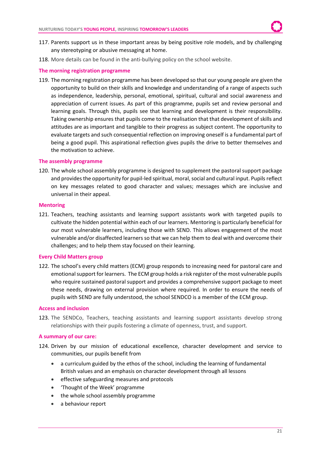- 117. Parents support us in these important areas by being positive role models, and by challenging any stereotyping or abusive messaging at home.
- 118. More details can be found in the anti-bullying policy on the school website.

#### **The morning registration programme**

119. The morning registration programme has been developed so that our young people are given the opportunity to build on their skills and knowledge and understanding of a range of aspects such as independence, leadership, personal, emotional, spiritual, cultural and social awareness and appreciation of current issues. As part of this programme, pupils set and review personal and learning goals. Through this, pupils see that learning and development is their responsibility. Taking ownership ensures that pupils come to the realisation that that development of skills and attitudes are as important and tangible to their progress as subject content. The opportunity to evaluate targets and such consequential reflection on improving oneself is a fundamental part of being a good pupil. This aspirational reflection gives pupils the drive to better themselves and the motivation to achieve.

#### **The assembly programme**

120. The whole school assembly programme is designed to supplement the pastoral support package and provides the opportunity for pupil-led spiritual, moral, social and cultural input. Pupils reflect on key messages related to good character and values; messages which are inclusive and universal in their appeal.

#### **Mentoring**

121. Teachers, teaching assistants and learning support assistants work with targeted pupils to cultivate the hidden potential within each of our learners. Mentoring is particularly beneficial for our most vulnerable learners, including those with SEND. This allows engagement of the most vulnerable and/or disaffected learners so that we can help them to deal with and overcome their challenges; and to help them stay focused on their learning.

#### **Every Child Matters group**

122. The school's every child matters (ECM) group responds to increasing need for pastoral care and emotional support for learners. The ECM group holds a risk register of the most vulnerable pupils who require sustained pastoral support and provides a comprehensive support package to meet these needs, drawing on external provision where required. In order to ensure the needs of pupils with SEND are fully understood, the school SENDCO is a member of the ECM group.

#### **Access and inclusion**

123. The SENDCo, Teachers, teaching assistants and learning support assistants develop strong relationships with their pupils fostering a climate of openness, trust, and support.

#### **A summary of our care:**

- 124. Driven by our mission of educational excellence, character development and service to communities, our pupils benefit from
	- a curriculum guided by the ethos of the school, including the learning of fundamental British values and an emphasis on character development through all lessons
	- effective safeguarding measures and protocols
	- 'Thought of the Week' programme
	- the whole school assembly programme
	- a behaviour report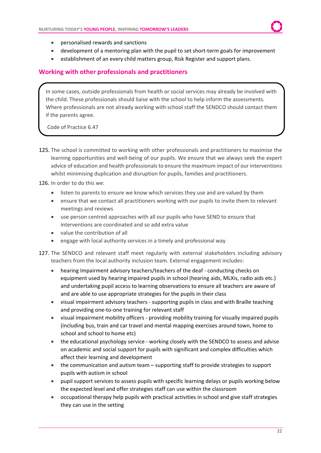- personalised rewards and sanctions
- development of a mentoring plan with the pupil to set short-term goals for improvement
- establishment of an every child matters group, Risk Register and support plans.

## <span id="page-21-0"></span>**Working with other professionals and practitioners**

In some cases, outside professionals from health or social services may already be involved with the child. These professionals should liaise with the school to help inform the assessments. Where professionals are not already working with school staff the SENDCO should contact them if the parents agree.

Code of Practice 6.47

125. The school is committed to working with other professionals and practitioners to maximise the learning opportunities and well-being of our pupils. We ensure that we always seek the expert advice of education and health professionals to ensure the maximum impact of our interventions whilst minimising duplication and disruption for pupils, families and practitioners.

#### 126. In order to do this we:

- listen to parents to ensure we know which services they use and are valued by them
- ensure that we contact all practitioners working with our pupils to invite them to relevant meetings and reviews
- use person centred approaches with all our pupils who have SEND to ensure that interventions are coordinated and so add extra value
- value the contribution of all
- engage with local authority services in a timely and professional way
- 127. The SENDCO and relevant staff meet regularly with external stakeholders including advisory teachers from the local authority inclusion team. External engagement includes:
	- hearing Impairment advisory teachers/teachers of the deaf conducting checks on equipment used by hearing impaired pupils in school (hearing aids, MLXis, radio aids etc.) and undertaking pupil access to learning observations to ensure all teachers are aware of and are able to use appropriate strategies for the pupils in their class
	- visual impairment advisory teachers supporting pupils in class and with Braille teaching and providing one-to-one training for relevant staff
	- visual impairment mobility officers providing mobility training for visually impaired pupils (including bus, train and car travel and mental mapping exercises around town, home to school and school to home etc)
	- the educational psychology service working closely with the SENDCO to assess and advise on academic and social support for pupils with significant and complex difficulties which affect their learning and development
	- the communication and autism team supporting staff to provide strategies to support pupils with autism in school
	- pupil support services to assess pupils with specific learning delays or pupils working below the expected level and offer strategies staff can use within the classroom
	- occupational therapy help pupils with practical activities in school and give staff strategies they can use in the setting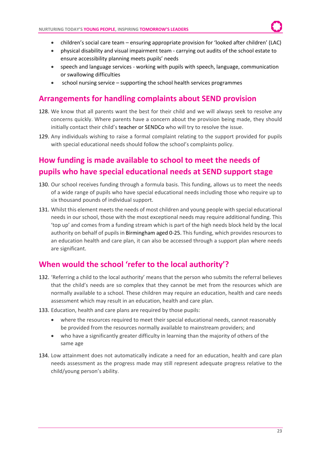- children's social care team ensuring appropriate provision for 'looked after children' (LAC)
- physical disability and visual impairment team carrying out audits of the school estate to ensure accessibility planning meets pupils' needs
- speech and language services working with pupils with speech, language, communication or swallowing difficulties
- school nursing service supporting the school health services programmes

# <span id="page-22-0"></span>**Arrangements for handling complaints about SEND provision**

- 128. We know that all parents want the best for their child and we will always seek to resolve any concerns quickly. Where parents have a concern about the provision being made, they should initially contact their child's teacher or SENDCo who will try to resolve the issue.
- 129. Any individuals wishing to raise a formal complaint relating to the support provided for pupils with special educational needs should follow the school's complaints policy.

# <span id="page-22-1"></span>**How funding is made available to school to meet the needs of pupils who have special educational needs at SEND support stage**

- 130. Our school receives funding through a formula basis. This funding, allows us to meet the needs of a wide range of pupils who have special educational needs including those who require up to six thousand pounds of individual support.
- 131. Whilst this element meets the needs of most children and young people with special educational needs in our school, those with the most exceptional needs may require additional funding. This 'top up' and comes from a funding stream which is part of the high needs block held by the local authority on behalf of pupils in Birmingham aged 0-25. This funding, which provides resources to an education health and care plan, it can also be accessed through a support plan where needs are significant.

# <span id="page-22-2"></span>**When would the school 'refer to the local authority'?**

- 132. 'Referring a child to the local authority' means that the person who submits the referral believes that the child's needs are so complex that they cannot be met from the resources which are normally available to a school. These children may require an education, health and care needs assessment which may result in an education, health and care plan.
- 133. Education, health and care plans are required by those pupils:
	- where the resources required to meet their special educational needs, cannot reasonably be provided from the resources normally available to mainstream providers; and
	- who have a significantly greater difficulty in learning than the majority of others of the same age
- 134. Low attainment does not automatically indicate a need for an education, health and care plan needs assessment as the progress made may still represent adequate progress relative to the child/young person's ability.